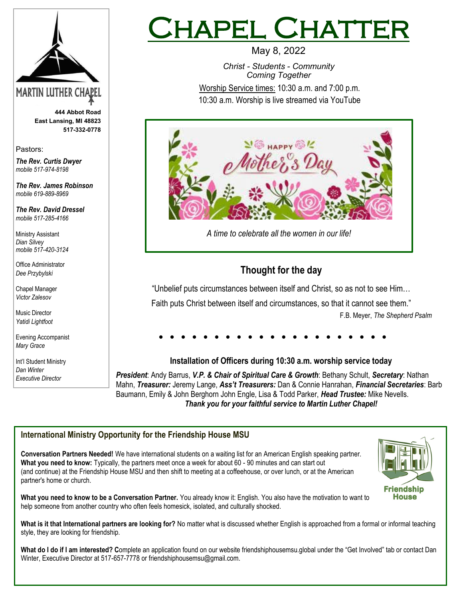

**444 Abbot Road East Lansing, MI 48823 517-332-0778**

Pastors:

*The Rev. Curtis Dwyer mobile 517-974-8198*

*The Rev. James Robinson mobile 619-889-8969*

*The Rev. David Dressel mobile 517-285-4166*

Ministry Assistant *Dian Silvey mobile 517-420-3124*

Office Administrator *Dee Przybylski*

Chapel Manager *Victor Zalesov*

Music Director *Yatidi Lightfoot* 

Evening Accompanist *Mary Grace*

Int'l Student Ministry *Dan Winter Executive Director*

# IAPEL CHATTE

May 8, 2022 *Christ - Students - Community Coming Together* Worship Service times: 10:30 a.m. and 7:00 p.m. 10:30 a.m. Worship is live streamed via YouTube



## **Thought for the day**

"Unbelief puts circumstances between itself and Christ, so as not to see Him…

Faith puts Christ between itself and circumstances, so that it cannot see them." F.B. Meyer, *The Shepherd Psalm*

#### **Installation of Officers during 10:30 a.m. worship service today**

*President*: Andy Barrus, *V.P. & Chair of Spiritual Care & Growth*: Bethany Schult, *Secretary*: Nathan Mahn, *Treasurer:* Jeremy Lange, *Ass't Treasurers:* Dan & Connie Hanrahan, *Financial Secretaries*: Barb Baumann, Emily & John Berghorn John Engle, Lisa & Todd Parker, *Head Trustee:* Mike Nevells. *Thank you for your faithful service to Martin Luther Chapel!* 

## **International Ministry Opportunity for the Friendship House MSU**

**Conversation Partners Needed!** We have international students on a waiting list for an American English speaking partner. **What you need to know:** Typically, the partners meet once a week for about 60 - 90 minutes and can start out (and continue) at the Friendship House MSU and then shift to meeting at a coffeehouse, or over lunch, or at the American partner's home or church.



**What you need to know to be a Conversation Partner.** You already know it: English. You also have the motivation to want to help someone from another country who often feels homesick, isolated, and culturally shocked.

What is it that International partners are looking for? No matter what is discussed whether English is approached from a formal or informal teaching style, they are looking for friendship.

**What do I do if I am interested? C**omplete an application found on our website friendshiphousemsu.global under the "Get Involved" tab or contact Dan Winter, Executive Director at 517-657-7778 or friendshiphousemsu@gmail.com.